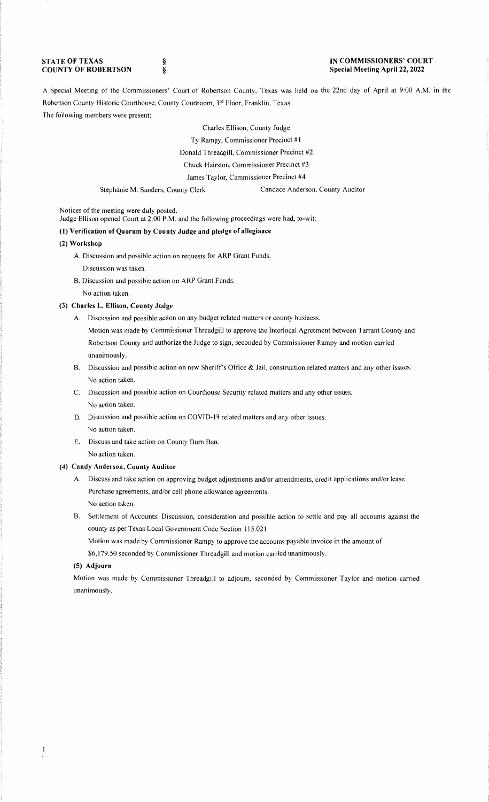#### **STATE OF TEXAS COUNTY OF ROBERTSON**

§ §

### **IN COMMISSIONERS' COURT Special Meeting April 22, 2022**

A Special Meeting of the Commissioners' Court of Robertson County, Texas was held on the 22nd day of April at 9:00 A.M. in the Robertson County Historic Courthouse, County Courtroom, 3'd Floor, Franklin, Texas. The following members were present:

> Charles Ellison, County Judge Ty Rampy, Commissioner Precinct # I Donald Threadgill, Commissioner Precinct #2 Chuck Hairston, Commissioner Precinct #3 James Taylor, Commissioner Precinct #4

Stephanie M. Sanders, County Clerk Candace Anderson, County Auditor

Notices of the meeting were duly posted.

Judge Ellison opened Court at 2:00 P.M. and the following proceedings were had, to-wit:

# **(1) Verification of Quorum by County Judge and pledge of allegiance**

# **(2) Workshop**

A. Discussion and possible action on requests for ARP Grant Funds.

Discussion was taken.

B. Discussion and possible action on ARP Grant Funds.

No action taken.

# **(3) Charles L. Ellison, County Judge**

A. Discussion and possible action on any budget related matters or county business.

Motion was made by Commissioner Threadgill to approve the Interlocal Agreement between Tarrant County and Robertson County and authorize the Judge to sign, seconded by Commissioner Rampy and motion carried unanimously.

- B. Discussion and possible action on new Sheriff's Office & Jail, construction related matters and any other issues. No action taken.
- C. Discussion and possible action on Courthouse Security related matters and any other issues. No action taken.
- D. Discussion and possible action on COVID-19 related matters and any other issues. No action taken.
- E. Discuss and take action on County Bum Ban. No action taken.

# **(4) Candy Anderson, County Auditor**

- A. Discuss and take action on approving budget adjustments and/or amendments, credit applications and/or lease Purchase agreements, and/or cell phone allowance agreements. No action taken.
- B. Settlement of Accounts: Discussion, consideration and possible action to settle and pay all accounts against the county as per Texas Local Government Code Section 115.021

Motion was made by Commissioner Rampy to approve the accounts payable invoice in the amount of

\$6,179.50 seconded by Commissioner Threadgill and motion carried unanimously.

### **(5) Adjourn**

 $\mathbf{l}$ 

Motion was made by Commissioner Threadgill to adjourn, seconded by Commissioner Taylor and motion carried unanimously.